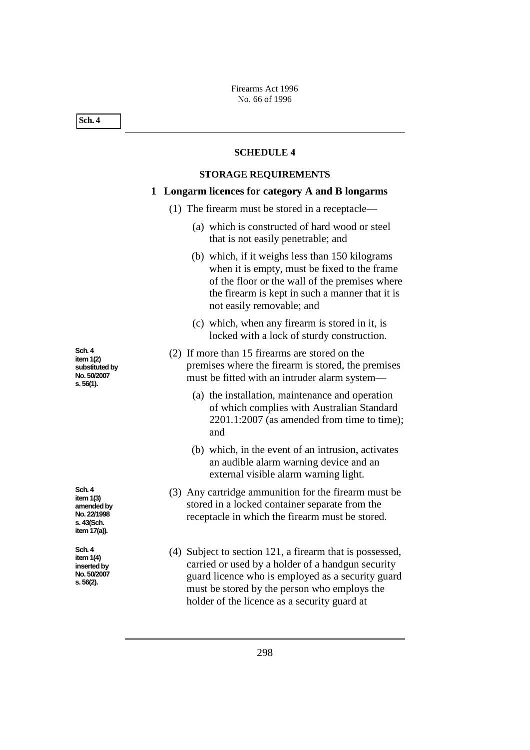**Sch. 4**

#### **SCHEDULE 4**

### **STORAGE REQUIREMENTS**

# **1 Longarm licences for category A and B longarms**

- (1) The firearm must be stored in a receptacle—
	- (a) which is constructed of hard wood or steel that is not easily penetrable; and
	- (b) which, if it weighs less than 150 kilograms when it is empty, must be fixed to the frame of the floor or the wall of the premises where the firearm is kept in such a manner that it is not easily removable; and
	- (c) which, when any firearm is stored in it, is locked with a lock of sturdy construction.
- (2) If more than 15 firearms are stored on the premises where the firearm is stored, the premises must be fitted with an intruder alarm system—
	- (a) the installation, maintenance and operation of which complies with Australian Standard 2201.1:2007 (as amended from time to time); and
	- (b) which, in the event of an intrusion, activates an audible alarm warning device and an external visible alarm warning light.
- (3) Any cartridge ammunition for the firearm must be stored in a locked container separate from the receptacle in which the firearm must be stored.

(4) Subject to section 121, a firearm that is possessed, carried or used by a holder of a handgun security guard licence who is employed as a security guard must be stored by the person who employs the holder of the licence as a security guard at

**Sch. 4 item 1(2) substituted by No. 50/2007 s. 56(1).**

**Sch. 4 item 1(3) amended by No. 22/1998 s. 43(Sch. item 17(a)).**

**Sch. 4 item 1(4) inserted by No. 50/2007 s. 56(2).**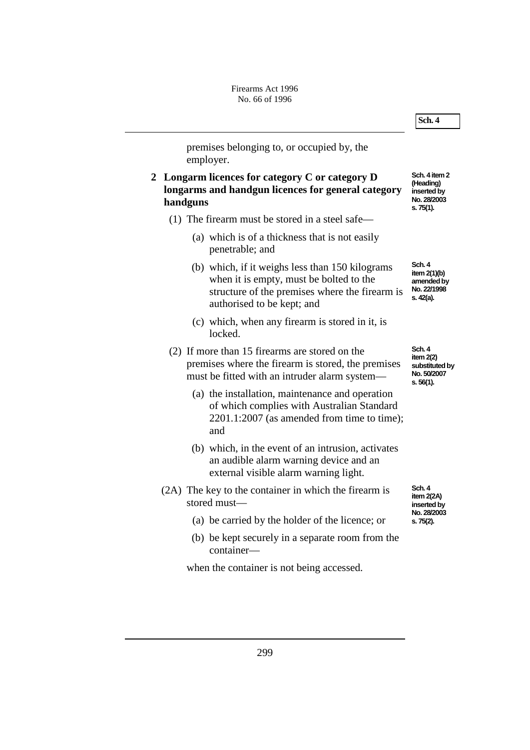

premises belonging to, or occupied by, the employer.

- **2 Longarm licences for category C or category D longarms and handgun licences for general category handguns**
	- (1) The firearm must be stored in a steel safe—
		- (a) which is of a thickness that is not easily penetrable; and
		- (b) which, if it weighs less than 150 kilograms when it is empty, must be bolted to the structure of the premises where the firearm is authorised to be kept; and
		- (c) which, when any firearm is stored in it, is locked.
	- (2) If more than 15 firearms are stored on the premises where the firearm is stored, the premises must be fitted with an intruder alarm system—
		- (a) the installation, maintenance and operation of which complies with Australian Standard 2201.1:2007 (as amended from time to time); and
		- (b) which, in the event of an intrusion, activates an audible alarm warning device and an external visible alarm warning light.
	- (2A) The key to the container in which the firearm is stored must—
		- (a) be carried by the holder of the licence; or
		- (b) be kept securely in a separate room from the container—

when the container is not being accessed.

**Sch. 4 item 2 (Heading)**   $\overline{\phantom{a}}$  inserted by **No. 28/2003 s. 75(1).**

**Sch. 4 item 2(1)(b) amended by No. 22/1998 s. 42(a).**

**Sch. 4 item 2(2) substituted by No. 50/2007 s. 56(1).**

**Sch. 4 item 2(2A)**  inserted by **No. 28/2003 s. 75(2).**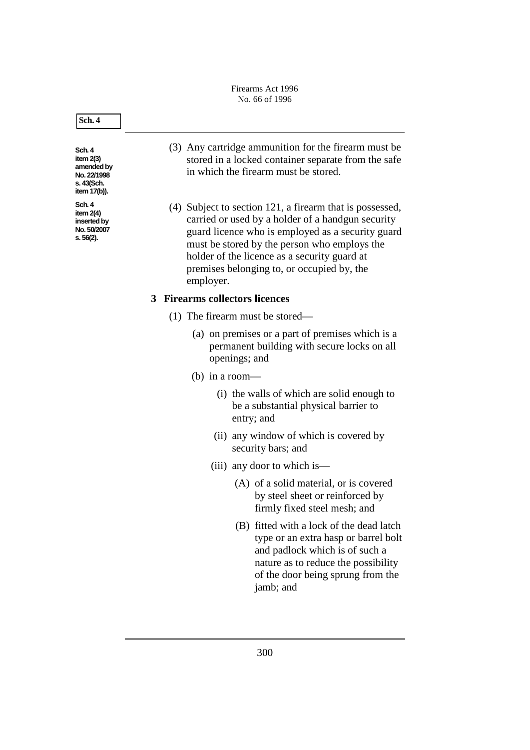Firearms Act 1996 No. 66 of 1996

#### **Sch. 4**

**Sch. 4 item 2(3) amended by No. 22/1998 s. 43(Sch. item 17(b)).**

**Sch. 4 item 2(4) inserted by No. 50/2007 s. 56(2).**

- (3) Any cartridge ammunition for the firearm must be stored in a locked container separate from the safe in which the firearm must be stored.
- (4) Subject to section 121, a firearm that is possessed, carried or used by a holder of a handgun security guard licence who is employed as a security guard must be stored by the person who employs the holder of the licence as a security guard at premises belonging to, or occupied by, the employer.

# **3 Firearms collectors licences**

- (1) The firearm must be stored—
	- (a) on premises or a part of premises which is a permanent building with secure locks on all openings; and
	- (b) in a room—
		- (i) the walls of which are solid enough to be a substantial physical barrier to entry; and
		- (ii) any window of which is covered by security bars; and
		- (iii) any door to which is—
			- (A) of a solid material, or is covered by steel sheet or reinforced by firmly fixed steel mesh; and
			- (B) fitted with a lock of the dead latch type or an extra hasp or barrel bolt and padlock which is of such a nature as to reduce the possibility of the door being sprung from the jamb; and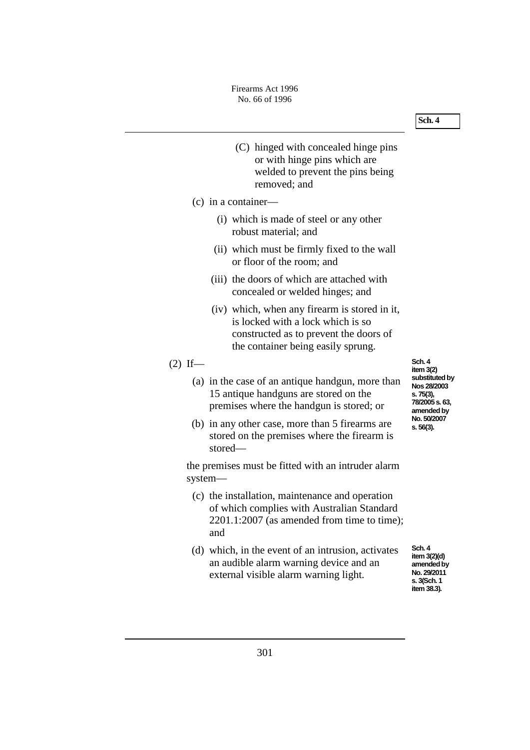- (C) hinged with concealed hinge pins or with hinge pins which are welded to prevent the pins being removed; and
- (c) in a container—
	- (i) which is made of steel or any other robust material; and
	- (ii) which must be firmly fixed to the wall or floor of the room; and
	- (iii) the doors of which are attached with concealed or welded hinges; and
	- (iv) which, when any firearm is stored in it, is locked with a lock which is so constructed as to prevent the doors of the container being easily sprung.

# $(2)$  If—

- (a) in the case of an antique handgun, more than 15 antique handguns are stored on the premises where the handgun is stored; or
- (b) in any other case, more than 5 firearms are stored on the premises where the firearm is stored—

the premises must be fitted with an intruder alarm system—

- (c) the installation, maintenance and operation of which complies with Australian Standard 2201.1:2007 (as amended from time to time); and
- (d) which, in the event of an intrusion, activates an audible alarm warning device and an external visible alarm warning light.

**Sch. 4 item 3(2)**  substituted by **Nos 28/2003 s. 75(3), 78/2005 s. 63, amended by No. 50/2007 s. 56(3).**

**Sch. 4 item 3(2)(d)**  amended by **No. 29/2011 s. 3(Sch. 1 item 38.3).**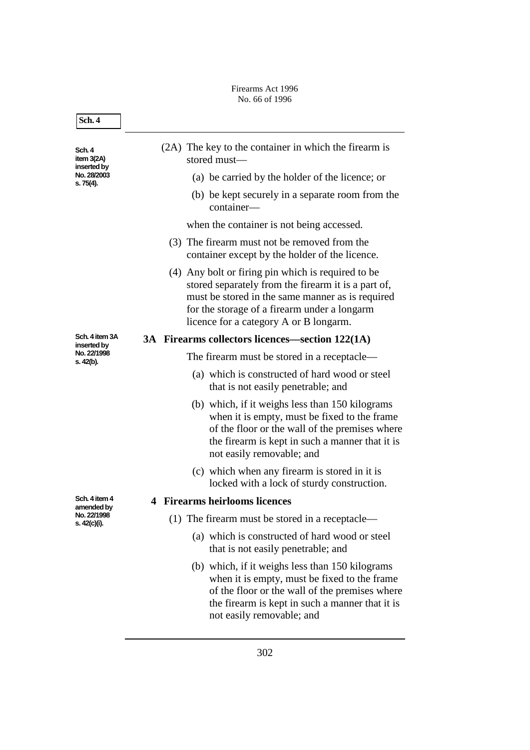## Firearms Act 1996 No. 66 of 1996

| Sch. 4                                                            |                                                                                                                                                                                                                                                         |
|-------------------------------------------------------------------|---------------------------------------------------------------------------------------------------------------------------------------------------------------------------------------------------------------------------------------------------------|
| Sch. 4<br>item $3(2A)$<br>inserted by<br>No. 28/2003<br>s. 75(4). | (2A) The key to the container in which the firearm is<br>stored must-                                                                                                                                                                                   |
|                                                                   | (a) be carried by the holder of the licence; or                                                                                                                                                                                                         |
|                                                                   | (b) be kept securely in a separate room from the<br>container-                                                                                                                                                                                          |
|                                                                   | when the container is not being accessed.                                                                                                                                                                                                               |
|                                                                   | (3) The firearm must not be removed from the<br>container except by the holder of the licence.                                                                                                                                                          |
|                                                                   | (4) Any bolt or firing pin which is required to be<br>stored separately from the firearm it is a part of,<br>must be stored in the same manner as is required<br>for the storage of a firearm under a longarm<br>licence for a category A or B longarm. |
| Sch. 4 item 3A<br>inserted by                                     | 3A Firearms collectors licences—section 122(1A)                                                                                                                                                                                                         |
| No. 22/1998<br>s. 42(b).                                          | The firearm must be stored in a receptacle—                                                                                                                                                                                                             |
|                                                                   | (a) which is constructed of hard wood or steel<br>that is not easily penetrable; and                                                                                                                                                                    |
|                                                                   | (b) which, if it weighs less than 150 kilograms<br>when it is empty, must be fixed to the frame<br>of the floor or the wall of the premises where<br>the firearm is kept in such a manner that it is<br>not easily removable; and                       |
|                                                                   | (c) which when any firearm is stored in it is<br>locked with a lock of sturdy construction.                                                                                                                                                             |
| Sch. 4 item 4<br>amended by                                       | <b>4 Firearms heirlooms licences</b>                                                                                                                                                                                                                    |
| No. 22/1998<br>s. 42(c)(i).                                       | (1) The firearm must be stored in a receptacle—                                                                                                                                                                                                         |
|                                                                   | (a) which is constructed of hard wood or steel<br>that is not easily penetrable; and                                                                                                                                                                    |
|                                                                   | (b) which, if it weighs less than 150 kilograms<br>when it is empty, must be fixed to the frame<br>of the floor or the wall of the premises where<br>the firearm is kept in such a manner that it is<br>not easily removable; and                       |